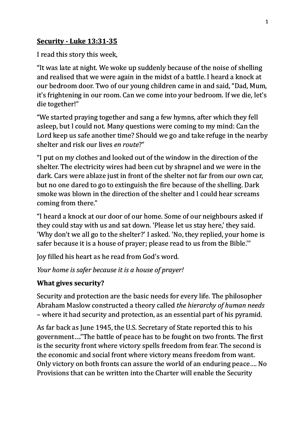## **Security - Luke 13:31-35**

I read this story this week,

"It was late at night. We woke up suddenly because of the noise of shelling and realised that we were again in the midst of a battle. I heard a knock at our bedroom door. Two of our young children came in and said, "Dad, Mum, it's frightening in our room. Can we come into your bedroom. If we die, let's die together!"

"We started praying together and sang a few hymns, after which they fell asleep, but I could not. Many questions were coming to my mind: Can the Lord keep us safe another time? Should we go and take refuge in the nearby shelter and risk our lives *en route*?"

"I put on my clothes and looked out of the window in the direction of the shelter. The electricity wires had been cut by shrapnel and we were in the dark. Cars were ablaze just in front of the shelter not far from our own car, but no one dared to go to extinguish the fire because of the shelling. Dark smoke was blown in the direction of the shelter and I could hear screams coming from there."

"I heard a knock at our door of our home. Some of our neighbours asked if they could stay with us and sat down. 'Please let us stay here,' they said. 'Why don't we all go to the shelter?' I asked. 'No, they replied, your home is safer because it is a house of prayer; please read to us from the Bible."

Joy filled his heart as he read from God's word.

*Your home is safer because it is a house of prayer!* 

## **What gives security?**

Security and protection are the basic needs for every life. The philosopher Abraham Maslow constructed a theory called *the hierarchy of human needs* – where it had security and protection, as an essential part of his pyramid.

As far back as June 1945, the U.S. Secretary of State reported this to his government...."The battle of peace has to be fought on two fronts. The first is the security front where victory spells freedom from fear. The second is the economic and social front where victory means freedom from want. Only victory on both fronts can assure the world of an enduring peace.... No Provisions that can be written into the Charter will enable the Security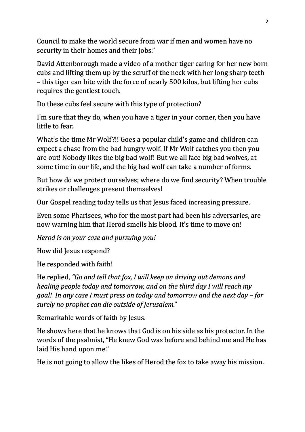Council to make the world secure from war if men and women have no security in their homes and their jobs."

David Attenborough made a video of a mother tiger caring for her new born cubs and lifting them up by the scruff of the neck with her long sharp teeth – this tiger can bite with the force of nearly 500 kilos, but lifting her cubs requires the gentlest touch.

Do these cubs feel secure with this type of protection?

I'm sure that they do, when you have a tiger in your corner, then you have little to fear.

What's the time Mr Wolf?!! Goes a popular child's game and children can expect a chase from the bad hungry wolf. If Mr Wolf catches you then you are out! Nobody likes the big bad wolf! But we all face big bad wolves, at some time in our life, and the big bad wolf can take a number of forms.

But how do we protect ourselves; where do we find security? When trouble strikes or challenges present themselves!

Our Gospel reading today tells us that Jesus faced increasing pressure.

Even some Pharisees, who for the most part had been his adversaries, are now warning him that Herod smells his blood. It's time to move on!

*Herod is on your case and pursuing you!* 

How did Jesus respond?

He responded with faith!

He replied, *"Go and tell that fox, I will keep on driving out demons and healing people today and tomorrow, and on the third day I will reach my goal! In any case I must press on today and tomorrow and the next day – for surely no prophet can die outside of Jerusalem.*"

Remarkable words of faith by Jesus.

He shows here that he knows that God is on his side as his protector. In the words of the psalmist, "He knew God was before and behind me and He has laid His hand upon me."

He is not going to allow the likes of Herod the fox to take away his mission.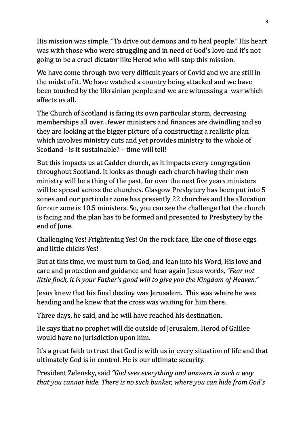His mission was simple, "To drive out demons and to heal people." His heart was with those who were struggling and in need of God's love and it's not going to be a cruel dictator like Herod who will stop this mission.

We have come through two very difficult years of Covid and we are still in the midst of it. We have watched a country being attacked and we have been touched by the Ukrainian people and we are witnessing a war which affects us all.

The Church of Scotland is facing its own particular storm, decreasing memberships all over... fewer ministers and finances are dwindling and so they are looking at the bigger picture of a constructing a realistic plan which involves ministry cuts and yet provides ministry to the whole of Scotland  $-$  is it sustainable?  $-$  time will tell!

But this impacts us at Cadder church, as it impacts every congregation throughout Scotland. It looks as though each church having their own ministry will be a thing of the past, for over the next five years ministers will be spread across the churches. Glasgow Presbytery has been put into 5 zones and our particular zone has presently 22 churches and the allocation for our zone is 10.5 ministers. So, you can see the challenge that the church is facing and the plan has to be formed and presented to Presbytery by the end of June.

Challenging Yes! Frightening Yes! On the rock face, like one of those eggs and little chicks Yes!

But at this time, we must turn to God, and lean into his Word. His love and care and protection and guidance and hear again Jesus words, *"Fear not little flock, it is your Father's good will to give you the Kingdom of Heaven."* 

Jesus knew that his final destiny was Jerusalem. This was where he was heading and he knew that the cross was waiting for him there.

Three days, he said, and he will have reached his destination.

He says that no prophet will die outside of Jerusalem. Herod of Galilee would have no jurisdiction upon him.

It's a great faith to trust that God is with us in every situation of life and that ultimately God is in control. He is our ultimate security.

President Zelensky, said "God sees everything and answers in such a way *that you cannot hide. There is no such bunker, where you can hide from God's*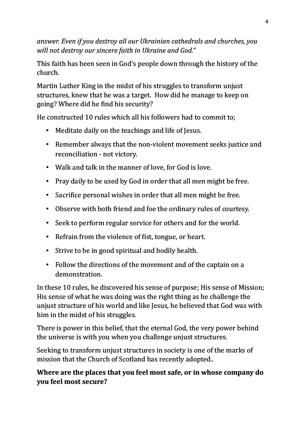answer. Even if you destroy all our Ukrainian cathedrals and churches, you will not destroy our sincere faith in Ukraine and God."

This faith has been seen in God's people down through the history of the church.

Martin Luther King in the midst of his struggles to transform unjust structures, knew that he was a target. How did he manage to keep on going? Where did he find his security?

He constructed 10 rules which all his followers had to commit to;

- Meditate daily on the teachings and life of Jesus.
- Remember always that the non-violent movement seeks justice and reconciliation - not victory.
- Walk and talk in the manner of love, for God is love.
- Pray daily to be used by God in order that all men might be free.
- Sacrifice personal wishes in order that all men might be free.
- Observe with both friend and foe the ordinary rules of courtesy.
- Seek to perform regular service for others and for the world.
- Refrain from the violence of fist, tongue, or heart.
- Strive to be in good spiritual and bodily health.
- Follow the directions of the movement and of the captain on a demonstration.

In these 10 rules, he discovered his sense of purpose; His sense of Mission; His sense of what he was doing was the right thing as he challenge the unjust structure of his world and like Jesus, he believed that God was with him in the midst of his struggles.

There is power in this belief, that the eternal God, the very power behind the universe is with you when you challenge unjust structures.

Seeking to transform unjust structures in society is one of the marks of mission that the Church of Scotland has recently adopted..

## **Where are the places that you feel most safe, or in whose company do you feel most secure?**